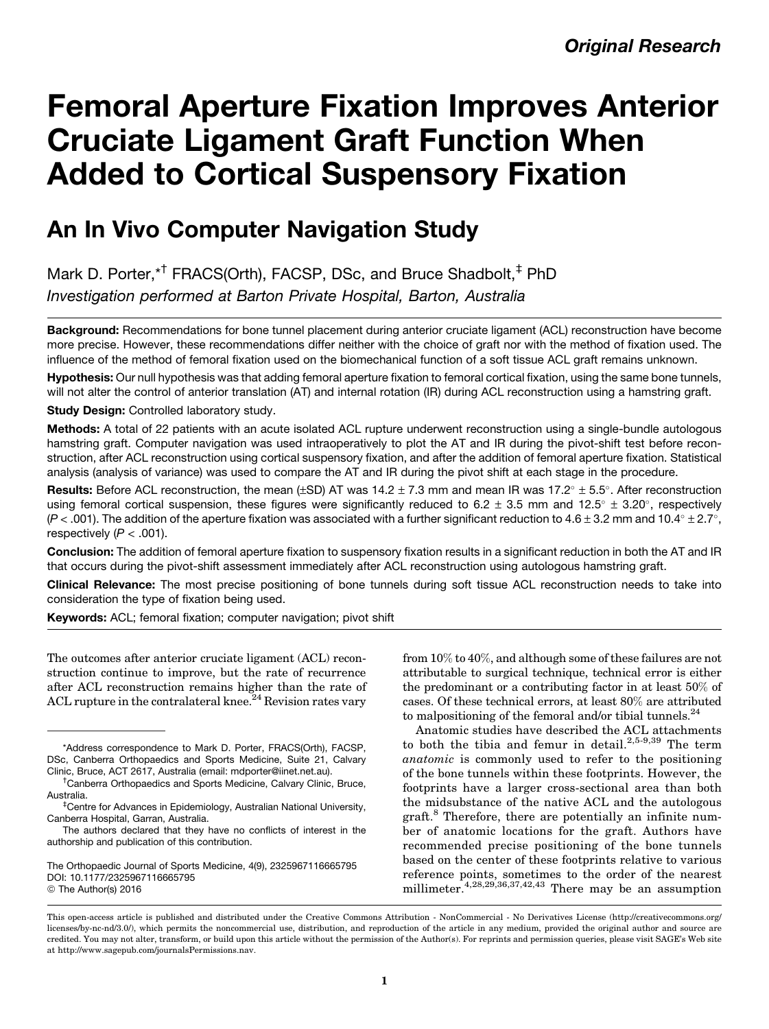# Femoral Aperture Fixation Improves Anterior Cruciate Ligament Graft Function When Added to Cortical Suspensory Fixation

# An In Vivo Computer Navigation Study

Mark D. Porter,<sup>\*†</sup> FRACS(Orth), FACSP, DSc, and Bruce Shadbolt,<sup>‡</sup> PhD Investigation performed at Barton Private Hospital, Barton, Australia

Background: Recommendations for bone tunnel placement during anterior cruciate ligament (ACL) reconstruction have become more precise. However, these recommendations differ neither with the choice of graft nor with the method of fixation used. The influence of the method of femoral fixation used on the biomechanical function of a soft tissue ACL graft remains unknown.

Hypothesis: Our null hypothesis was that adding femoral aperture fixation to femoral cortical fixation, using the same bone tunnels, will not alter the control of anterior translation (AT) and internal rotation (IR) during ACL reconstruction using a hamstring graft.

Study Design: Controlled laboratory study.

Methods: A total of 22 patients with an acute isolated ACL rupture underwent reconstruction using a single-bundle autologous hamstring graft. Computer navigation was used intraoperatively to plot the AT and IR during the pivot-shift test before reconstruction, after ACL reconstruction using cortical suspensory fixation, and after the addition of femoral aperture fixation. Statistical analysis (analysis of variance) was used to compare the AT and IR during the pivot shift at each stage in the procedure.

Results: Before ACL reconstruction, the mean  $(\pm SD)$  AT was 14.2  $\pm$  7.3 mm and mean IR was 17.2°  $\pm$  5.5°. After reconstruction using femoral cortical suspension, these figures were significantly reduced to 6.2  $\pm$  3.5 mm and 12.5°  $\pm$  3.20°, respectively (P < .001). The addition of the aperture fixation was associated with a further significant reduction to 4.6 ± 3.2 mm and 10.4 $^{\circ}$  ± 2.7 $^{\circ}$ , respectively ( $P < .001$ ).

Conclusion: The addition of femoral aperture fixation to suspensory fixation results in a significant reduction in both the AT and IR that occurs during the pivot-shift assessment immediately after ACL reconstruction using autologous hamstring graft.

Clinical Relevance: The most precise positioning of bone tunnels during soft tissue ACL reconstruction needs to take into consideration the type of fixation being used.

Keywords: ACL; femoral fixation; computer navigation; pivot shift

The outcomes after anterior cruciate ligament (ACL) reconstruction continue to improve, but the rate of recurrence after ACL reconstruction remains higher than the rate of ACL rupture in the contralateral knee.<sup>24</sup> Revision rates vary

from 10% to 40%, and although some of these failures are not attributable to surgical technique, technical error is either the predominant or a contributing factor in at least 50% of cases. Of these technical errors, at least 80% are attributed to malpositioning of the femoral and/or tibial tunnels.<sup>24</sup>

Anatomic studies have described the ACL attachments to both the tibia and femur in detail. $2,5-9,39$  The term anatomic is commonly used to refer to the positioning of the bone tunnels within these footprints. However, the footprints have a larger cross-sectional area than both the midsubstance of the native ACL and the autologous graft.<sup>8</sup> Therefore, there are potentially an infinite number of anatomic locations for the graft. Authors have recommended precise positioning of the bone tunnels based on the center of these footprints relative to various reference points, sometimes to the order of the nearest millimeter.<sup>4,28,29,36,37,42,43</sup> There may be an assumption

<sup>\*</sup>Address correspondence to Mark D. Porter, FRACS(Orth), FACSP, DSc, Canberra Orthopaedics and Sports Medicine, Suite 21, Calvary Clinic, Bruce, ACT 2617, Australia (email: [mdporter@iinet.net.au](mailto:mdporter@iinet.net.au)). †

<sup>&</sup>lt;sup>†</sup>Canberra Orthopaedics and Sports Medicine, Calvary Clinic, Bruce, Australia.

Centre for Advances in Epidemiology, Australian National University, Canberra Hospital, Garran, Australia.

The authors declared that they have no conflicts of interest in the authorship and publication of this contribution.

The Orthopaedic Journal of Sports Medicine, 4(9), 2325967116665795 DOI: 10.1177/2325967116665795 © The Author(s) 2016

This open-access article is published and distributed under the Creative Commons Attribution - NonCommercial - No Derivatives License (http://creativecommons.org/ licenses/by-nc-nd/3.0/), which permits the noncommercial use, distribution, and reproduction of the article in any medium, provided the original author and source are credited. You may not alter, transform, or build upon this article without the permission of the Author(s). For reprints and permission queries, please visit SAGE's Web site at http://www.sagepub.com/journalsPermissions.nav.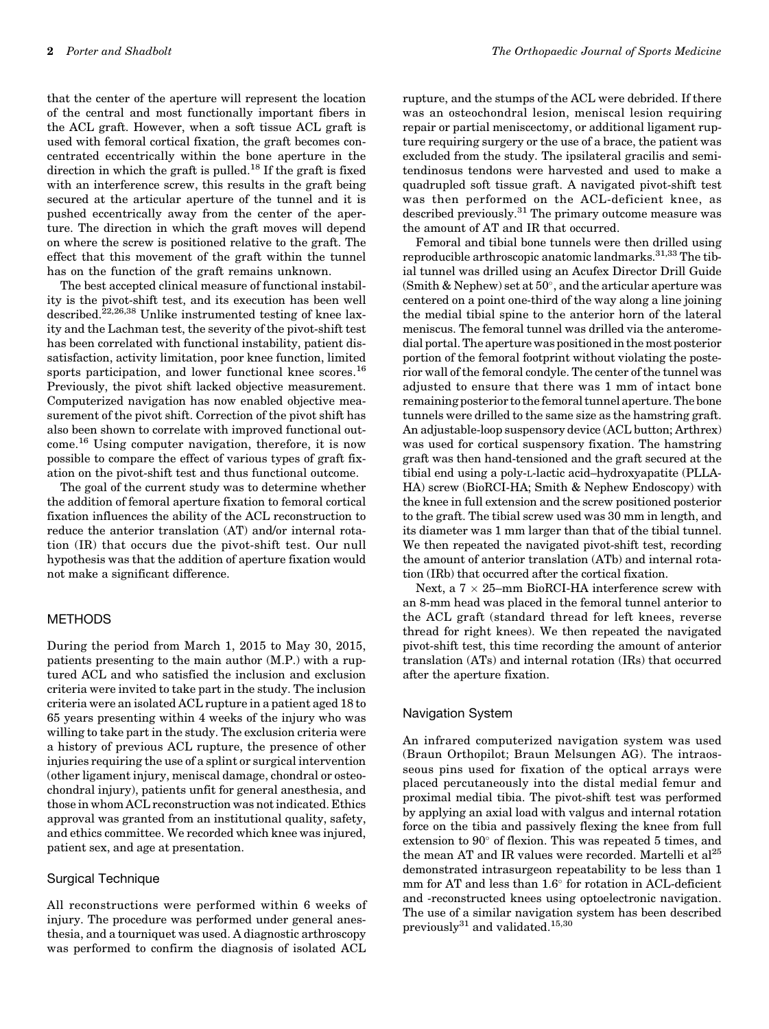that the center of the aperture will represent the location of the central and most functionally important fibers in the ACL graft. However, when a soft tissue ACL graft is used with femoral cortical fixation, the graft becomes concentrated eccentrically within the bone aperture in the direction in which the graft is pulled.<sup>18</sup> If the graft is fixed with an interference screw, this results in the graft being secured at the articular aperture of the tunnel and it is pushed eccentrically away from the center of the aperture. The direction in which the graft moves will depend on where the screw is positioned relative to the graft. The effect that this movement of the graft within the tunnel has on the function of the graft remains unknown.

The best accepted clinical measure of functional instability is the pivot-shift test, and its execution has been well described.<sup>22,26,38</sup> Unlike instrumented testing of knee laxity and the Lachman test, the severity of the pivot-shift test has been correlated with functional instability, patient dissatisfaction, activity limitation, poor knee function, limited sports participation, and lower functional knee scores.<sup>16</sup> Previously, the pivot shift lacked objective measurement. Computerized navigation has now enabled objective measurement of the pivot shift. Correction of the pivot shift has also been shown to correlate with improved functional outcome.<sup>16</sup> Using computer navigation, therefore, it is now possible to compare the effect of various types of graft fixation on the pivot-shift test and thus functional outcome.

The goal of the current study was to determine whether the addition of femoral aperture fixation to femoral cortical fixation influences the ability of the ACL reconstruction to reduce the anterior translation (AT) and/or internal rotation (IR) that occurs due the pivot-shift test. Our null hypothesis was that the addition of aperture fixation would not make a significant difference.

## METHODS

During the period from March 1, 2015 to May 30, 2015, patients presenting to the main author (M.P.) with a ruptured ACL and who satisfied the inclusion and exclusion criteria were invited to take part in the study. The inclusion criteria were an isolated ACL rupture in a patient aged 18 to 65 years presenting within 4 weeks of the injury who was willing to take part in the study. The exclusion criteria were a history of previous ACL rupture, the presence of other injuries requiring the use of a splint or surgical intervention (other ligament injury, meniscal damage, chondral or osteochondral injury), patients unfit for general anesthesia, and those in whom ACL reconstruction was not indicated. Ethics approval was granted from an institutional quality, safety, and ethics committee. We recorded which knee was injured, patient sex, and age at presentation.

## Surgical Technique

All reconstructions were performed within 6 weeks of injury. The procedure was performed under general anesthesia, and a tourniquet was used. A diagnostic arthroscopy was performed to confirm the diagnosis of isolated ACL

rupture, and the stumps of the ACL were debrided. If there was an osteochondral lesion, meniscal lesion requiring repair or partial meniscectomy, or additional ligament rupture requiring surgery or the use of a brace, the patient was excluded from the study. The ipsilateral gracilis and semitendinosus tendons were harvested and used to make a quadrupled soft tissue graft. A navigated pivot-shift test was then performed on the ACL-deficient knee, as described previously.<sup>31</sup> The primary outcome measure was the amount of AT and IR that occurred.

Femoral and tibial bone tunnels were then drilled using reproducible arthroscopic anatomic landmarks.<sup>31,33</sup> The tibial tunnel was drilled using an Acufex Director Drill Guide (Smith & Nephew) set at  $50^{\circ}$ , and the articular aperture was centered on a point one-third of the way along a line joining the medial tibial spine to the anterior horn of the lateral meniscus. The femoral tunnel was drilled via the anteromedial portal. The aperture was positioned in the most posterior portion of the femoral footprint without violating the posterior wall of the femoral condyle. The center of the tunnel was adjusted to ensure that there was 1 mm of intact bone remaining posterior to the femoral tunnel aperture. The bone tunnels were drilled to the same size as the hamstring graft. An adjustable-loop suspensory device (ACL button; Arthrex) was used for cortical suspensory fixation. The hamstring graft was then hand-tensioned and the graft secured at the tibial end using a poly-L-lactic acid–hydroxyapatite (PLLA-HA) screw (BioRCI-HA; Smith & Nephew Endoscopy) with the knee in full extension and the screw positioned posterior to the graft. The tibial screw used was 30 mm in length, and its diameter was 1 mm larger than that of the tibial tunnel. We then repeated the navigated pivot-shift test, recording the amount of anterior translation (ATb) and internal rotation (IRb) that occurred after the cortical fixation.

Next, a  $7 \times 25$ –mm BioRCI-HA interference screw with an 8-mm head was placed in the femoral tunnel anterior to the ACL graft (standard thread for left knees, reverse thread for right knees). We then repeated the navigated pivot-shift test, this time recording the amount of anterior translation (ATs) and internal rotation (IRs) that occurred after the aperture fixation.

# Navigation System

An infrared computerized navigation system was used (Braun Orthopilot; Braun Melsungen AG). The intraosseous pins used for fixation of the optical arrays were placed percutaneously into the distal medial femur and proximal medial tibia. The pivot-shift test was performed by applying an axial load with valgus and internal rotation force on the tibia and passively flexing the knee from full extension to 90° of flexion. This was repeated 5 times, and the mean AT and IR values were recorded. Martelli et  $\rm{al}^{25}$ demonstrated intrasurgeon repeatability to be less than 1 mm for AT and less than 1.6° for rotation in ACL-deficient and -reconstructed knees using optoelectronic navigation. The use of a similar navigation system has been described previously<sup>31</sup> and validated.<sup>15,30</sup>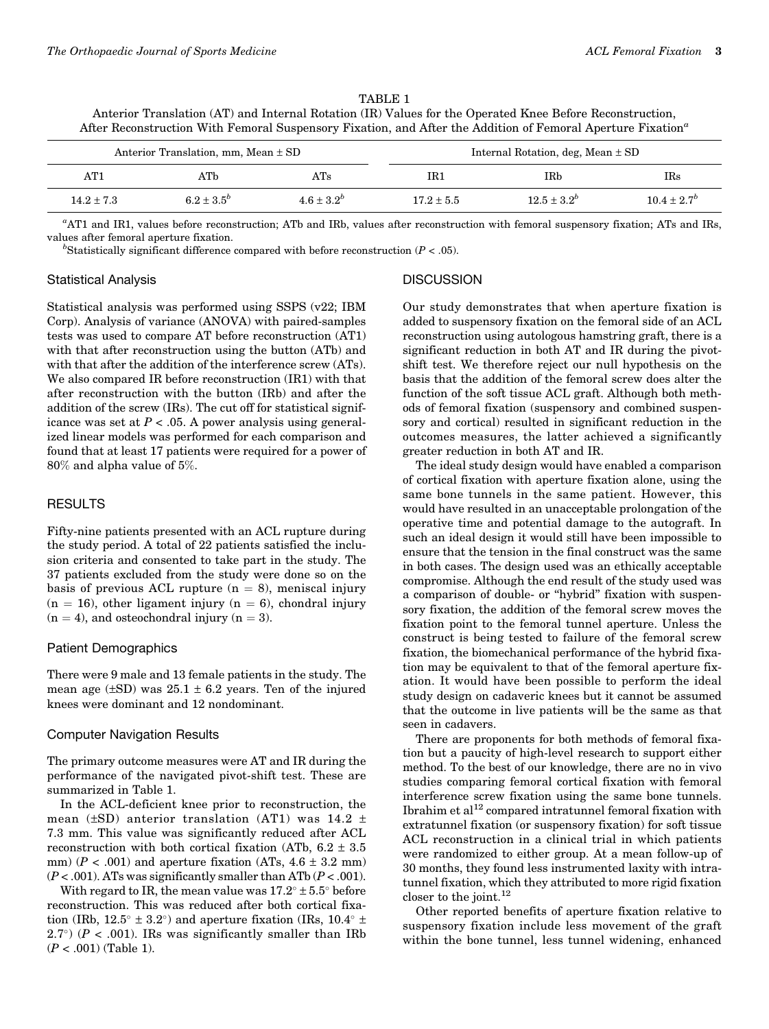#### TABLE 1

Anterior Translation (AT) and Internal Rotation (IR) Values for the Operated Knee Before Reconstruction, After Reconstruction With Femoral Suspensory Fixation, and After the Addition of Femoral Aperture Fixation<sup>a</sup>

| Anterior Translation, mm, Mean $\pm$ SD |                   |                   | Internal Rotation, deg, Mean $\pm$ SD |                    |                    |
|-----------------------------------------|-------------------|-------------------|---------------------------------------|--------------------|--------------------|
| AT1                                     | ATh               | $_{\rm ATs}$      | IR1                                   | IRb                | IRs                |
| $14.2 \pm 7.3$                          | $6.2 \pm 3.5^{b}$ | $4.6 \pm 3.2^{b}$ | $17.2 \pm 5.5$                        | $12.5 \pm 3.2^{b}$ | $10.4 \pm 2.7^{b}$ |

a AT1 and IR1, values before reconstruction; ATb and IRb, values after reconstruction with femoral suspensory fixation; ATs and IRs, values after femoral aperture fixation.

<sup>b</sup>Statistically significant difference compared with before reconstruction ( $P < .05$ ).

#### Statistical Analysis

Statistical analysis was performed using SSPS (v22; IBM Corp). Analysis of variance (ANOVA) with paired-samples tests was used to compare AT before reconstruction (AT1) with that after reconstruction using the button (ATb) and with that after the addition of the interference screw (ATs). We also compared IR before reconstruction (IR1) with that after reconstruction with the button (IRb) and after the addition of the screw (IRs). The cut off for statistical significance was set at  $P < .05$ . A power analysis using generalized linear models was performed for each comparison and found that at least 17 patients were required for a power of 80% and alpha value of 5%.

#### RESULTS

Fifty-nine patients presented with an ACL rupture during the study period. A total of 22 patients satisfied the inclusion criteria and consented to take part in the study. The 37 patients excluded from the study were done so on the basis of previous ACL rupture  $(n = 8)$ , meniscal injury  $(n = 16)$ , other ligament injury  $(n = 6)$ , chondral injury  $(n = 4)$ , and osteochondral injury  $(n = 3)$ .

#### Patient Demographics

There were 9 male and 13 female patients in the study. The mean age  $(\pm SD)$  was  $25.1 \pm 6.2$  years. Ten of the injured knees were dominant and 12 nondominant.

#### Computer Navigation Results

The primary outcome measures were AT and IR during the performance of the navigated pivot-shift test. These are summarized in Table 1.

In the ACL-deficient knee prior to reconstruction, the mean ( $\pm SD$ ) anterior translation (AT1) was 14.2  $\pm$ 7.3 mm. This value was significantly reduced after ACL reconstruction with both cortical fixation (ATb,  $6.2 \pm 3.5$ ) mm) ( $P < .001$ ) and aperture fixation (ATs,  $4.6 \pm 3.2$  mm)  $(P < .001)$ . ATs was significantly smaller than ATb  $(P < .001)$ .

With regard to IR, the mean value was  $17.2^{\circ} \pm 5.5^{\circ}$  before reconstruction. This was reduced after both cortical fixation (IRb,  $12.5^{\circ} \pm 3.2^{\circ}$ ) and aperture fixation (IRs,  $10.4^{\circ} \pm$  $2.7^{\circ}$ ) (P < .001). IRs was significantly smaller than IRb  $(P < .001)$  (Table 1).

#### **DISCUSSION**

Our study demonstrates that when aperture fixation is added to suspensory fixation on the femoral side of an ACL reconstruction using autologous hamstring graft, there is a significant reduction in both AT and IR during the pivotshift test. We therefore reject our null hypothesis on the basis that the addition of the femoral screw does alter the function of the soft tissue ACL graft. Although both methods of femoral fixation (suspensory and combined suspensory and cortical) resulted in significant reduction in the outcomes measures, the latter achieved a significantly greater reduction in both AT and IR.

The ideal study design would have enabled a comparison of cortical fixation with aperture fixation alone, using the same bone tunnels in the same patient. However, this would have resulted in an unacceptable prolongation of the operative time and potential damage to the autograft. In such an ideal design it would still have been impossible to ensure that the tension in the final construct was the same in both cases. The design used was an ethically acceptable compromise. Although the end result of the study used was a comparison of double- or ''hybrid'' fixation with suspensory fixation, the addition of the femoral screw moves the fixation point to the femoral tunnel aperture. Unless the construct is being tested to failure of the femoral screw fixation, the biomechanical performance of the hybrid fixation may be equivalent to that of the femoral aperture fixation. It would have been possible to perform the ideal study design on cadaveric knees but it cannot be assumed that the outcome in live patients will be the same as that seen in cadavers.

There are proponents for both methods of femoral fixation but a paucity of high-level research to support either method. To the best of our knowledge, there are no in vivo studies comparing femoral cortical fixation with femoral interference screw fixation using the same bone tunnels. Ibrahim et al $^{12}$  compared intratunnel femoral fixation with extratunnel fixation (or suspensory fixation) for soft tissue ACL reconstruction in a clinical trial in which patients were randomized to either group. At a mean follow-up of 30 months, they found less instrumented laxity with intratunnel fixation, which they attributed to more rigid fixation closer to the joint.<sup>12</sup>

Other reported benefits of aperture fixation relative to suspensory fixation include less movement of the graft within the bone tunnel, less tunnel widening, enhanced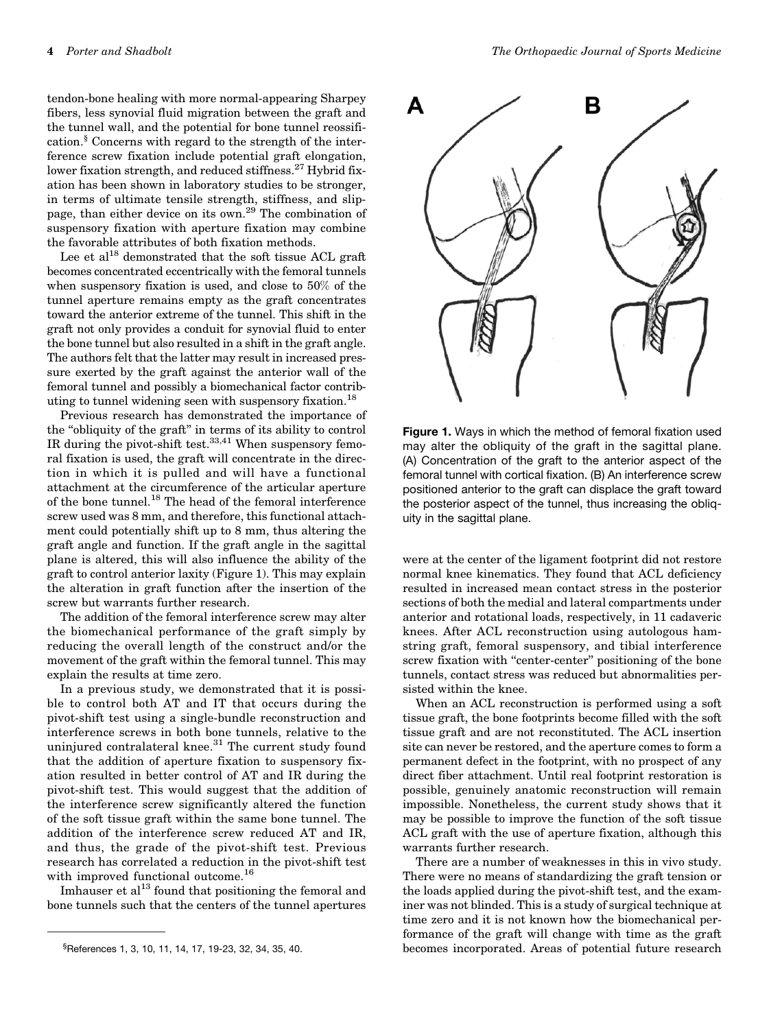tendon-bone healing with more normal-appearing Sharpey fibers, less synovial fluid migration between the graft and the tunnel wall, and the potential for bone tunnel reossification.§ Concerns with regard to the strength of the interference screw fixation include potential graft elongation, lower fixation strength, and reduced stiffness.<sup>27</sup> Hybrid fixation has been shown in laboratory studies to be stronger, in terms of ultimate tensile strength, stiffness, and slippage, than either device on its own.<sup>29</sup> The combination of suspensory fixation with aperture fixation may combine the favorable attributes of both fixation methods.

Lee et  $al^{18}$  demonstrated that the soft tissue ACL graft becomes concentrated eccentrically with the femoral tunnels when suspensory fixation is used, and close to 50% of the tunnel aperture remains empty as the graft concentrates toward the anterior extreme of the tunnel. This shift in the graft not only provides a conduit for synovial fluid to enter the bone tunnel but also resulted in a shift in the graft angle. The authors felt that the latter may result in increased pressure exerted by the graft against the anterior wall of the femoral tunnel and possibly a biomechanical factor contributing to tunnel widening seen with suspensory fixation.18

Previous research has demonstrated the importance of the ''obliquity of the graft'' in terms of its ability to control IR during the pivot-shift test. $33,41$  When suspensory femoral fixation is used, the graft will concentrate in the direction in which it is pulled and will have a functional attachment at the circumference of the articular aperture of the bone tunnel.<sup>18</sup> The head of the femoral interference screw used was 8 mm, and therefore, this functional attachment could potentially shift up to 8 mm, thus altering the graft angle and function. If the graft angle in the sagittal plane is altered, this will also influence the ability of the graft to control anterior laxity (Figure 1). This may explain the alteration in graft function after the insertion of the screw but warrants further research.

The addition of the femoral interference screw may alter the biomechanical performance of the graft simply by reducing the overall length of the construct and/or the movement of the graft within the femoral tunnel. This may explain the results at time zero.

In a previous study, we demonstrated that it is possible to control both AT and IT that occurs during the pivot-shift test using a single-bundle reconstruction and interference screws in both bone tunnels, relative to the uninjured contralateral knee. $31$  The current study found that the addition of aperture fixation to suspensory fixation resulted in better control of AT and IR during the pivot-shift test. This would suggest that the addition of the interference screw significantly altered the function of the soft tissue graft within the same bone tunnel. The addition of the interference screw reduced AT and IR, and thus, the grade of the pivot-shift test. Previous research has correlated a reduction in the pivot-shift test with improved functional outcome.<sup>16</sup>

Imhauser et al<sup>13</sup> found that positioning the femoral and bone tunnels such that the centers of the tunnel apertures



Figure 1. Ways in which the method of femoral fixation used may alter the obliquity of the graft in the sagittal plane. (A) Concentration of the graft to the anterior aspect of the femoral tunnel with cortical fixation. (B) An interference screw positioned anterior to the graft can displace the graft toward the posterior aspect of the tunnel, thus increasing the obliquity in the sagittal plane.

were at the center of the ligament footprint did not restore normal knee kinematics. They found that ACL deficiency resulted in increased mean contact stress in the posterior sections of both the medial and lateral compartments under anterior and rotational loads, respectively, in 11 cadaveric knees. After ACL reconstruction using autologous hamstring graft, femoral suspensory, and tibial interference screw fixation with "center-center" positioning of the bone tunnels, contact stress was reduced but abnormalities persisted within the knee.

When an ACL reconstruction is performed using a soft tissue graft, the bone footprints become filled with the soft tissue graft and are not reconstituted. The ACL insertion site can never be restored, and the aperture comes to form a permanent defect in the footprint, with no prospect of any direct fiber attachment. Until real footprint restoration is possible, genuinely anatomic reconstruction will remain impossible. Nonetheless, the current study shows that it may be possible to improve the function of the soft tissue ACL graft with the use of aperture fixation, although this warrants further research.

There are a number of weaknesses in this in vivo study. There were no means of standardizing the graft tension or the loads applied during the pivot-shift test, and the examiner was not blinded. This is a study of surgical technique at time zero and it is not known how the biomechanical performance of the graft will change with time as the graft becomes incorporated. Areas of potential future research

<sup>§</sup> References 1, 3, 10, 11, 14, 17, 19-23, 32, 34, 35, 40.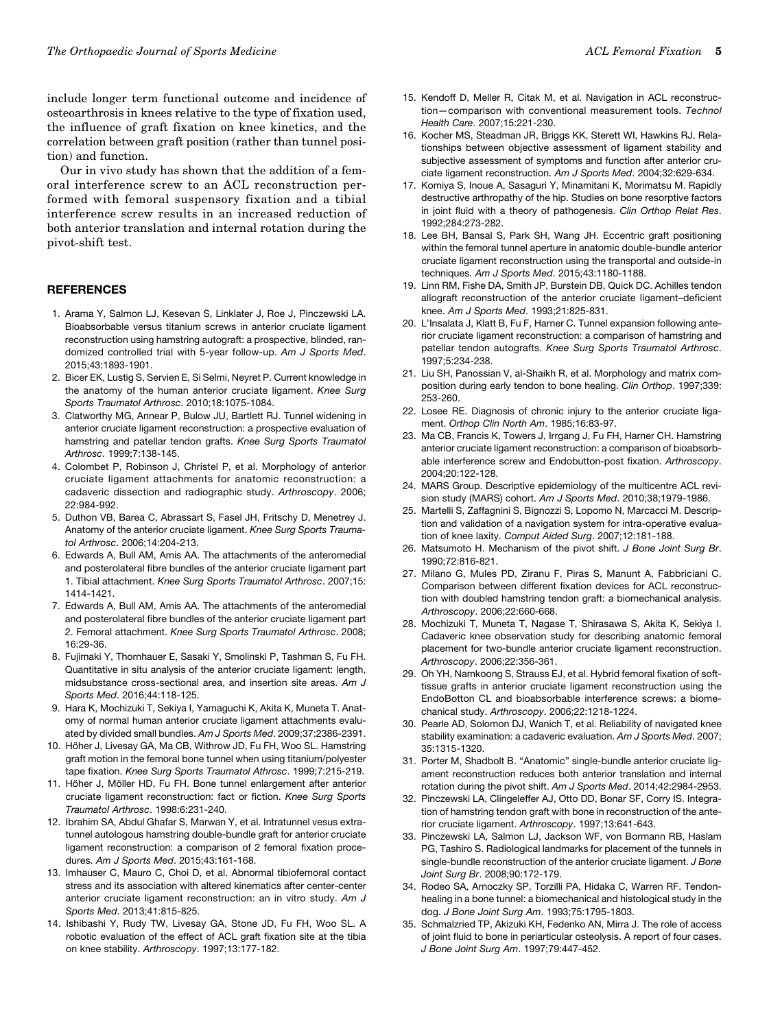include longer term functional outcome and incidence of osteoarthrosis in knees relative to the type of fixation used, the influence of graft fixation on knee kinetics, and the correlation between graft position (rather than tunnel position) and function.

Our in vivo study has shown that the addition of a femoral interference screw to an ACL reconstruction performed with femoral suspensory fixation and a tibial interference screw results in an increased reduction of both anterior translation and internal rotation during the pivot-shift test.

#### **REFERENCES**

- 1. Arama Y, Salmon LJ, Kesevan S, Linklater J, Roe J, Pinczewski LA. Bioabsorbable versus titanium screws in anterior cruciate ligament reconstruction using hamstring autograft: a prospective, blinded, randomized controlled trial with 5-year follow-up. Am J Sports Med. 2015;43:1893-1901.
- 2. Bicer EK, Lustig S, Servien E, Si Selmi, Neyret P. Current knowledge in the anatomy of the human anterior cruciate ligament. Knee Surg Sports Traumatol Arthrosc. 2010;18:1075-1084.
- 3. Clatworthy MG, Annear P, Bulow JU, Bartlett RJ. Tunnel widening in anterior cruciate ligament reconstruction: a prospective evaluation of hamstring and patellar tendon grafts. Knee Surg Sports Traumatol Arthrosc. 1999;7:138-145.
- 4. Colombet P, Robinson J, Christel P, et al. Morphology of anterior cruciate ligament attachments for anatomic reconstruction: a cadaveric dissection and radiographic study. Arthroscopy. 2006; 22:984-992.
- 5. Duthon VB, Barea C, Abrassart S, Fasel JH, Fritschy D, Menetrey J. Anatomy of the anterior cruciate ligament. Knee Surg Sports Traumatol Arthrosc. 2006;14:204-213.
- 6. Edwards A, Bull AM, Amis AA. The attachments of the anteromedial and posterolateral fibre bundles of the anterior cruciate ligament part 1. Tibial attachment. Knee Surg Sports Traumatol Arthrosc. 2007;15: 1414-1421.
- 7. Edwards A, Bull AM, Amis AA. The attachments of the anteromedial and posterolateral fibre bundles of the anterior cruciate ligament part 2. Femoral attachment. Knee Surg Sports Traumatol Arthrosc. 2008; 16:29-36.
- 8. Fujimaki Y, Thornhauer E, Sasaki Y, Smolinski P, Tashman S, Fu FH. Quantitative in situ analysis of the anterior cruciate ligament: length, midsubstance cross-sectional area, and insertion site areas. Am J Sports Med. 2016;44:118-125.
- 9. Hara K, Mochizuki T, Sekiya I, Yamaguchi K, Akita K, Muneta T. Anatomy of normal human anterior cruciate ligament attachments evaluated by divided small bundles. Am J Sports Med. 2009;37:2386-2391.
- 10. Höher J, Livesay GA, Ma CB, Withrow JD, Fu FH, Woo SL. Hamstring graft motion in the femoral bone tunnel when using titanium/polyester tape fixation. Knee Surg Sports Traumatol Athrosc. 1999;7:215-219.
- 11. Höher J, Möller HD, Fu FH. Bone tunnel enlargement after anterior cruciate ligament reconstruction: fact or fiction. Knee Surg Sports Traumatol Arthrosc. 1998:6:231-240.
- 12. Ibrahim SA, Abdul Ghafar S, Marwan Y, et al. Intratunnel vesus extratunnel autologous hamstring double-bundle graft for anterior cruciate ligament reconstruction: a comparison of 2 femoral fixation procedures. Am J Sports Med. 2015;43:161-168.
- 13. Imhauser C, Mauro C, Choi D, et al. Abnormal tibiofemoral contact stress and its association with altered kinematics after center-center anterior cruciate ligament reconstruction: an in vitro study. Am J Sports Med. 2013;41:815-825.
- 14. Ishibashi Y, Rudy TW, Livesay GA, Stone JD, Fu FH, Woo SL. A robotic evaluation of the effect of ACL graft fixation site at the tibia on knee stability. Arthroscopy. 1997;13:177-182.
- 15. Kendoff D, Meller R, Citak M, et al. Navigation in ACL reconstruction—comparison with conventional measurement tools. Technol Health Care. 2007;15:221-230.
- 16. Kocher MS, Steadman JR, Briggs KK, Sterett WI, Hawkins RJ. Relationships between objective assessment of ligament stability and subjective assessment of symptoms and function after anterior cruciate ligament reconstruction. Am J Sports Med. 2004;32:629-634.
- 17. Komiya S, Inoue A, Sasaguri Y, Minamitani K, Morimatsu M. Rapidly destructive arthropathy of the hip. Studies on bone resorptive factors in joint fluid with a theory of pathogenesis. Clin Orthop Relat Res. 1992;284:273-282.
- 18. Lee BH, Bansal S, Park SH, Wang JH. Eccentric graft positioning within the femoral tunnel aperture in anatomic double-bundle anterior cruciate ligament reconstruction using the transportal and outside-in techniques. Am J Sports Med. 2015;43:1180-1188.
- 19. Linn RM, Fishe DA, Smith JP, Burstein DB, Quick DC. Achilles tendon allograft reconstruction of the anterior cruciate ligament–deficient knee. Am J Sports Med. 1993;21:825-831.
- 20. L'Insalata J, Klatt B, Fu F, Harner C. Tunnel expansion following anterior cruciate ligament reconstruction: a comparison of hamstring and patellar tendon autografts. Knee Surg Sports Traumatol Arthrosc. 1997;5:234-238.
- 21. Liu SH, Panossian V, al-Shaikh R, et al. Morphology and matrix composition during early tendon to bone healing. Clin Orthop. 1997;339: 253-260.
- 22. Losee RE. Diagnosis of chronic injury to the anterior cruciate ligament. Orthop Clin North Am. 1985;16:83-97.
- 23. Ma CB, Francis K, Towers J, Irrgang J, Fu FH, Harner CH. Hamstring anterior cruciate ligament reconstruction: a comparison of bioabsorbable interference screw and Endobutton-post fixation. Arthroscopy. 2004;20:122-128.
- 24. MARS Group. Descriptive epidemiology of the multicentre ACL revision study (MARS) cohort. Am J Sports Med. 2010:38:1979-1986.
- 25. Martelli S, Zaffagnini S, Bignozzi S, Lopomo N, Marcacci M. Description and validation of a navigation system for intra-operative evaluation of knee laxity. Comput Aided Surg. 2007;12:181-188.
- 26. Matsumoto H. Mechanism of the pivot shift. J Bone Joint Surg Br. 1990;72:816-821.
- 27. Milano G, Mules PD, Ziranu F, Piras S, Manunt A, Fabbriciani C. Comparison between different fixation devices for ACL reconstruction with doubled hamstring tendon graft: a biomechanical analysis. Arthroscopy. 2006;22:660-668.
- 28. Mochizuki T, Muneta T, Nagase T, Shirasawa S, Akita K, Sekiya I. Cadaveric knee observation study for describing anatomic femoral placement for two-bundle anterior cruciate ligament reconstruction. Arthroscopy. 2006;22:356-361.
- 29. Oh YH, Namkoong S, Strauss EJ, et al. Hybrid femoral fixation of softtissue grafts in anterior cruciate ligament reconstruction using the EndoBotton CL and bioabsorbable interference screws: a biomechanical study. Arthroscopy. 2006;22:1218-1224.
- 30. Pearle AD, Solomon DJ, Wanich T, et al. Reliability of navigated knee stability examination: a cadaveric evaluation. Am J Sports Med. 2007; 35:1315-1320.
- 31. Porter M, Shadbolt B. "Anatomic" single-bundle anterior cruciate ligament reconstruction reduces both anterior translation and internal rotation during the pivot shift. Am J Sports Med. 2014;42:2984-2953.
- 32. Pinczewski LA, Clingeleffer AJ, Otto DD, Bonar SF, Corry IS. Integration of hamstring tendon graft with bone in reconstruction of the anterior cruciate ligament. Arthroscopy. 1997;13:641-643.
- 33. Pinczewski LA, Salmon LJ, Jackson WF, von Bormann RB, Haslam PG, Tashiro S. Radiological landmarks for placement of the tunnels in single-bundle reconstruction of the anterior cruciate ligament. J Bone Joint Surg Br. 2008;90:172-179.
- 34. Rodeo SA, Arnoczky SP, Torzilli PA, Hidaka C, Warren RF. Tendonhealing in a bone tunnel: a biomechanical and histological study in the dog. J Bone Joint Surg Am. 1993;75:1795-1803.
- 35. Schmalzried TP, Akizuki KH, Fedenko AN, Mirra J. The role of access of joint fluid to bone in periarticular osteolysis. A report of four cases. J Bone Joint Surg Am. 1997;79:447-452.